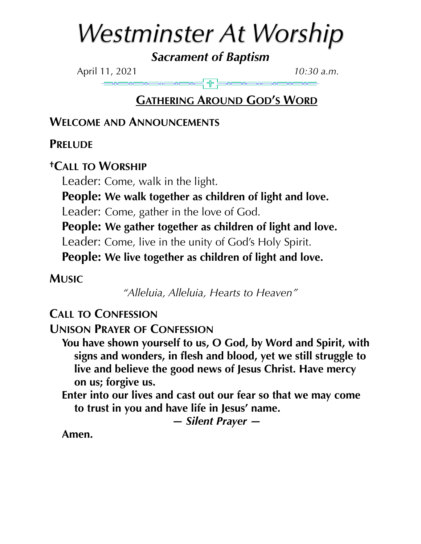# *Westminster At Worship*

*Sacrament of Baptism* 

April 11, 2021 *10:30 a.m.*

# **GATHERING AROUND GOD'S WORD**

**WELCOME AND ANNOUNCEMENTS**

**PRELUDE**

**†CALL TO WORSHIP**

Leader: Come, walk in the light.

**People: We walk together as children of light and love.** 

Leader: Come, gather in the love of God.

**People: We gather together as children of light and love.**

Leader: Come, live in the unity of God's Holy Spirit.

**People: We live together as children of light and love.**

**MUSIC**

*"Alleluia, Alleluia, Hearts to Heaven"* 

**CALL TO CONFESSION**

**UNISON PRAYER OF CONFESSION**

**You have shown yourself to us, O God, by Word and Spirit, with signs and wonders, in flesh and blood, yet we still struggle to live and believe the good news of Jesus Christ. Have mercy on us; forgive us.** 

**Enter into our lives and cast out our fear so that we may come to trust in you and have life in Jesus' name.** 

*— Silent Prayer —* 

**Amen.**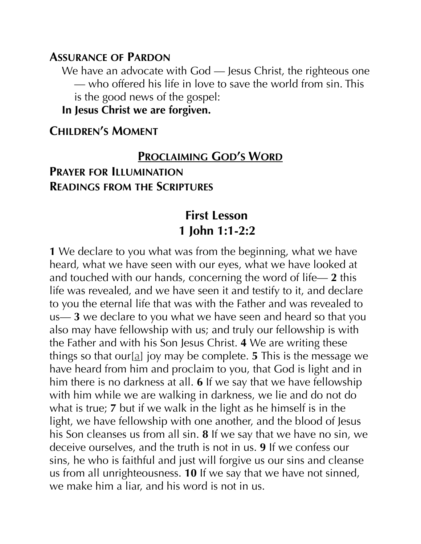#### **ASSURANCE OF PARDON**

We have an advocate with God - Jesus Christ, the righteous one — who offered his life in love to save the world from sin. This is the good news of the gospel:

**In Jesus Christ we are forgiven.**

#### **CHILDREN'S MOMENT**

# **PROCLAIMING GOD'S WORD PRAYER FOR ILLUMINATION READINGS FROM THE SCRIPTURES**

# **First Lesson 1 John 1:1-2:2**

**1** We declare to you what was from the beginning, what we have heard, what we have seen with our eyes, what we have looked at and touched with our hands, concerning the word of life— **2** this life was revealed, and we have seen it and testify to it, and declare to you the eternal life that was with the Father and was revealed to us— **3** we declare to you what we have seen and heard so that you also may have fellowship with us; and truly our fellowship is with the Father and with his Son Jesus Christ. **4** We are writing these things so that our[[a\]](https://www.biblegateway.com/passage/?search=1+John+1%3A1-2%3A2&version=NRSV#fen-NRSV-30527a) joy may be complete. **5** This is the message we have heard from him and proclaim to you, that God is light and in him there is no darkness at all. **6** If we say that we have fellowship with him while we are walking in darkness, we lie and do not do what is true; **7** but if we walk in the light as he himself is in the light, we have fellowship with one another, and the blood of Jesus his Son cleanses us from all sin. **8** If we say that we have no sin, we deceive ourselves, and the truth is not in us. **9** If we confess our sins, he who is faithful and just will forgive us our sins and cleanse us from all unrighteousness. **10** If we say that we have not sinned, we make him a liar, and his word is not in us.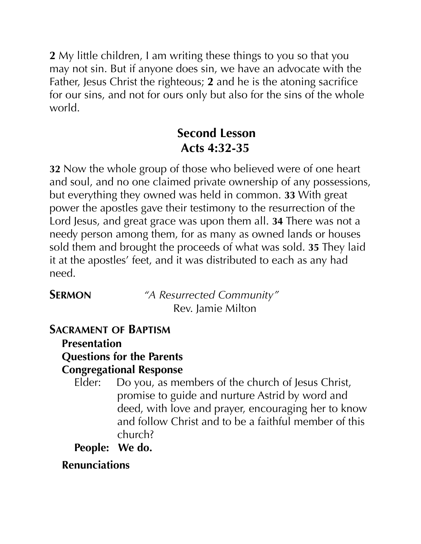**2** My little children, I am writing these things to you so that you may not sin. But if anyone does sin, we have an advocate with the Father, Jesus Christ the righteous; **2** and he is the atoning sacrifice for our sins, and not for ours only but also for the sins of the whole world.

# **Second Lesson Acts 4:32-35**

**32** Now the whole group of those who believed were of one heart and soul, and no one claimed private ownership of any possessions, but everything they owned was held in common. **33** With great power the apostles gave their testimony to the resurrection of the Lord Jesus, and great grace was upon them all. **34** There was not a needy person among them, for as many as owned lands or houses sold them and brought the proceeds of what was sold. **35** They laid it at the apostles' feet, and it was distributed to each as any had need.

**SERMON** *"A Resurrected Community"* Rev. Jamie Milton

# **SACRAMENT OF BAPTISM**

**Presentation Questions for the Parents Congregational Response** 

- Elder: Do you, as members of the church of Jesus Christ, promise to guide and nurture Astrid by word and deed, with love and prayer, encouraging her to know and follow Christ and to be a faithful member of this church?
- **People: We do.**

# **Renunciations**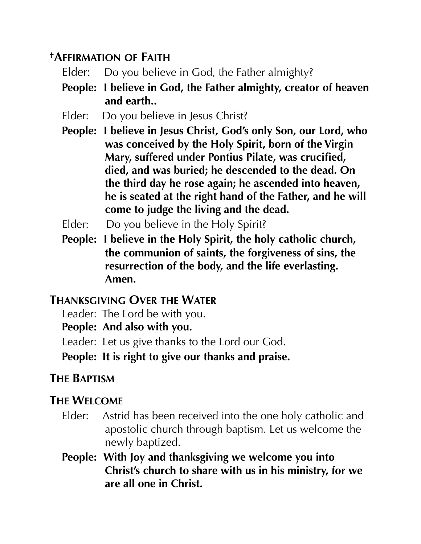# **†AFFIRMATION OF FAITH**

- Elder: Do you believe in God, the Father almighty?
- **People: I believe in God, the Father almighty, creator of heaven and earth..**
- Elder: Do you believe in Jesus Christ?
- **People: I believe in Jesus Christ, God's only Son, our Lord, who was conceived by the Holy Spirit, born of the Virgin Mary, suffered under Pontius Pilate, was crucified, died, and was buried; he descended to the dead. On the third day he rose again; he ascended into heaven, he is seated at the right hand of the Father, and he will come to judge the living and the dead.**
- Elder: Do you believe in the Holy Spirit?
- **People: I believe in the Holy Spirit, the holy catholic church, the communion of saints, the forgiveness of sins, the resurrection of the body, and the life everlasting. Amen.**

#### **THANKSGIVING OVER THE WATER**

Leader: The Lord be with you.

**People: And also with you.** 

Leader: Let us give thanks to the Lord our God.

**People: It is right to give our thanks and praise.** 

# **THE BAPTISM**

# **THE WELCOME**

- Elder: Astrid has been received into the one holy catholic and apostolic church through baptism. Let us welcome the newly baptized.
- **People: With Joy and thanksgiving we welcome you into Christ's church to share with us in his ministry, for we are all one in Christ.**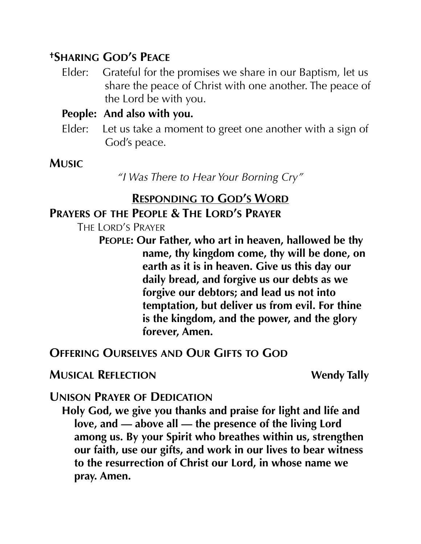# **†SHARING GOD'S PEACE**

Elder: Grateful for the promises we share in our Baptism, let us share the peace of Christ with one another. The peace of the Lord be with you.

#### **People: And also with you.**

Elder: Let us take a moment to greet one another with a sign of God's peace.

# **MUSIC**

*"I Was There to Hear Your Borning Cry"* 

#### **RESPONDING TO GOD'S WORD PRAYERS OF THE PEOPLE & THE LORD'S PRAYER**

THE LORD'S PRAYER

**PEOPLE: Our Father, who art in heaven, hallowed be thy name, thy kingdom come, thy will be done, on earth as it is in heaven. Give us this day our daily bread, and forgive us our debts as we forgive our debtors; and lead us not into temptation, but deliver us from evil. For thine is the kingdom, and the power, and the glory forever, Amen.** 

# **OFFERING OURSELVES AND OUR GIFTS TO GOD**

# **MUSICAL REFLECTION** Wendy Tally

# **UNISON PRAYER OF DEDICATION**

**Holy God, we give you thanks and praise for light and life and love, and — above all — the presence of the living Lord among us. By your Spirit who breathes within us, strengthen our faith, use our gifts, and work in our lives to bear witness to the resurrection of Christ our Lord, in whose name we pray. Amen.**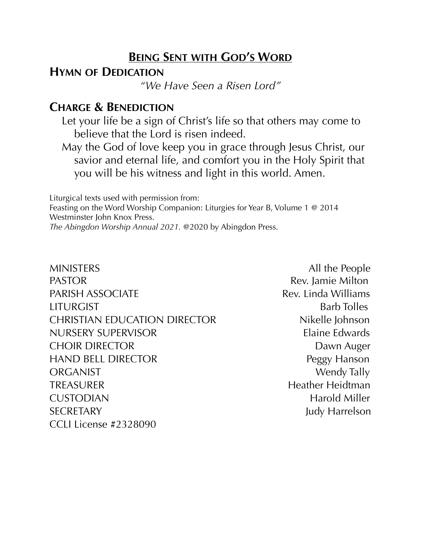#### **BEING SENT WITH GOD'S WORD**

#### **HYMN OF DEDICATION**

*"We Have Seen a Risen Lord"* 

#### **CHARGE & BENEDICTION**

Let your life be a sign of Christ's life so that others may come to believe that the Lord is risen indeed.

May the God of love keep you in grace through Jesus Christ, our savior and eternal life, and comfort you in the Holy Spirit that you will be his witness and light in this world. Amen.

Liturgical texts used with permission from: Feasting on the Word Worship Companion: Liturgies for Year B, Volume 1 @ 2014 Westminster John Knox Press. *The Abingdon Worship Annual 2021.* @2020 by Abingdon Press.

MINISTERS All the People PASTOR **Rev.** Jamie Milton PARISH ASSOCIATE Rev. Linda Williams LITURGIST Barb Tolles CHRISTIAN EDUCATION DIRECTOR Nikelle Johnson NURSERY SUPERVISOR Elaine Edwards CHOIR DIRECTOR DAWN Auger HAND BELL DIRECTOR **Peggy Hanson** ORGANIST Wendy Tally TREASURER Heather Heidtman CUSTODIAN Harold Miller SECRETARY Judy Harrelson CCLI License #2328090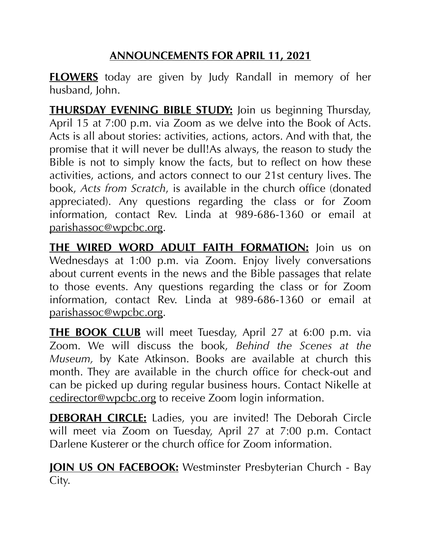# **ANNOUNCEMENTS FOR APRIL 11, 2021**

**FLOWERS** today are given by Judy Randall in memory of her husband, John.

**THURSDAY EVENING BIBLE STUDY:** Join us beginning Thursday, April 15 at 7:00 p.m. via Zoom as we delve into the Book of Acts. Acts is all about stories: activities, actions, actors. And with that, the promise that it will never be dull!As always, the reason to study the Bible is not to simply know the facts, but to reflect on how these activities, actions, and actors connect to our 21st century lives. The book, *Acts from Scratch*, is available in the church office (donated appreciated). Any questions regarding the class or for Zoom information, contact Rev. Linda at 989-686-1360 or email at [parishassoc@wpcbc.org.](mailto:parishassoc@wpcbc.org)

**THE WIRED WORD ADULT FAITH FORMATION:** Join us on Wednesdays at 1:00 p.m. via Zoom. Enjoy lively conversations about current events in the news and the Bible passages that relate to those events. Any questions regarding the class or for Zoom information, contact Rev. Linda at 989-686-1360 or email at [parishassoc@wpcbc.org.](mailto:parishassoc@wpcbc.org)

**THE BOOK CLUB** will meet Tuesday, April 27 at 6:00 p.m. via Zoom. We will discuss the book, *Behind the Scenes at the Museum,* by Kate Atkinson. Books are available at church this month. They are available in the church office for check-out and can be picked up during regular business hours. Contact Nikelle at [cedirector@wpcbc.org](mailto:cedirector@wpcbc.org) to receive Zoom login information.

**DEBORAH CIRCLE:** Ladies, you are invited! The Deborah Circle will meet via Zoom on Tuesday, April 27 at 7:00 p.m. Contact Darlene Kusterer or the church office for Zoom information.

**JOIN US ON FACEBOOK:** Westminster Presbyterian Church - Bay City.